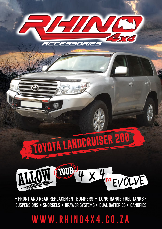# **WWW.RHINO4X4.CO.ZA**

• FRONT AND REAR REPLACEMENT BUMPERS • LONG RANGE FUEL TANKS • SUSPENSIONS • SNORKELS • DRAWER SYSTEMS • DUAL BATTERIES • CANOPIES